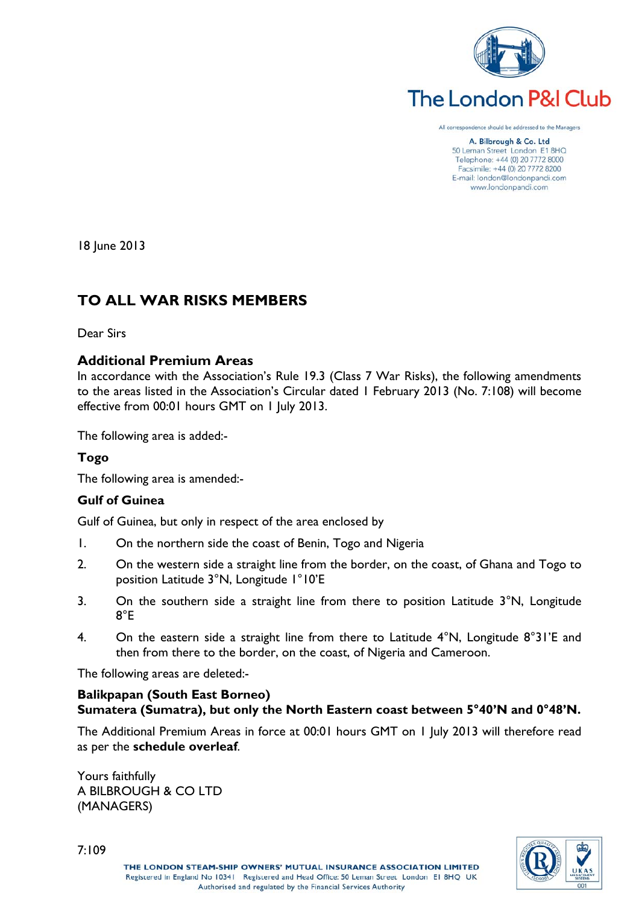

# The London P&I Club

All correspondence should be addressed to the Managers

A. Bilbrough & Co. Ltd 50 Leman Street London E1 8HQ Telephone: +44 (0) 20 7772 8000 Facsimile: +44 (0) 20 7772 8200 E-mail: london@londonpandi.com www.londonpandi.com

18 June 2013

# **TO ALL WAR RISKS MEMBERS**

Dear Sirs

# **Additional Premium Areas**

In accordance with the Association's Rule 19.3 (Class 7 War Risks), the following amendments to the areas listed in the Association's Circular dated 1 February 2013 (No. 7:108) will become effective from 00:01 hours GMT on 1 July 2013.

The following area is added:-

# **Togo**

The following area is amended:-

# **Gulf of Guinea**

Gulf of Guinea, but only in respect of the area enclosed by

- 1. On the northern side the coast of Benin, Togo and Nigeria
- 2. On the western side a straight line from the border, on the coast, of Ghana and Togo to position Latitude 3°N, Longitude 1°10'E
- 3. On the southern side a straight line from there to position Latitude 3°N, Longitude 8°E
- 4. On the eastern side a straight line from there to Latitude 4°N, Longitude 8°31'E and then from there to the border, on the coast, of Nigeria and Cameroon.

The following areas are deleted:-

## **Balikpapan (South East Borneo) Sumatera (Sumatra), but only the North Eastern coast between 5°40'N and 0°48'N.**

The Additional Premium Areas in force at 00:01 hours GMT on 1 July 2013 will therefore read as per the **schedule overleaf**.

Yours faithfully A BILBROUGH & CO LTD (MANAGERS)